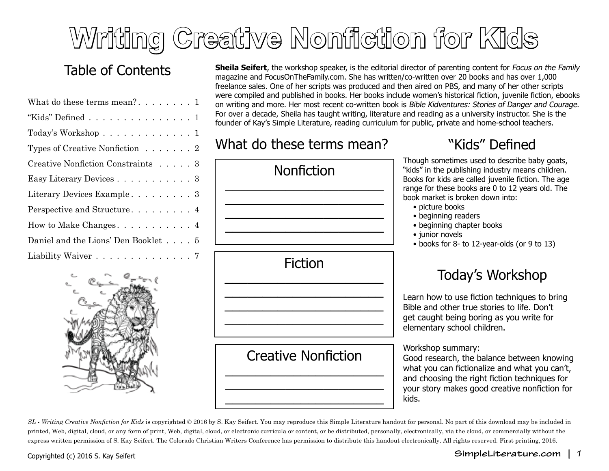# **Writing Creative Nonfiction for Kids**

### Table of Contents

| What do these terms mean? $1$                         |  |  |  |
|-------------------------------------------------------|--|--|--|
| "Kids" Defined $\ldots \ldots \ldots \ldots \ldots 1$ |  |  |  |
| Today's Workshop $\ldots \ldots \ldots \ldots 1$      |  |  |  |
| Types of Creative Nonfiction 2                        |  |  |  |
| Creative Nonfiction Constraints 3                     |  |  |  |
| Easy Literary Devices 3                               |  |  |  |
|                                                       |  |  |  |
| Perspective and Structure 4                           |  |  |  |
| How to Make Changes. 4                                |  |  |  |
| Daniel and the Lions' Den Booklet 5                   |  |  |  |
| Liability Waiver 7                                    |  |  |  |



**Sheila Seifert**, the workshop speaker, is the editorial director of parenting content for Focus on the Family magazine and FocusOnTheFamily.com. She has written/co-written over 20 books and has over 1,000 freelance sales. One of her scripts was produced and then aired on PBS, and many of her other scripts were compiled and published in books. Her books include women's historical fiction, juvenile fiction, ebooks on writing and more. Her most recent co-written book is Bible Kidventures: Stories of Danger and Courage. For over a decade, Sheila has taught writing, literature and reading as a university instructor. She is the founder of Kay's Simple Literature, reading curriculum for public, private and home-school teachers.

### Nonfiction  $\overline{\phantom{a}}$  , where  $\overline{\phantom{a}}$  , where  $\overline{\phantom{a}}$  , where  $\overline{\phantom{a}}$  $\overline{\phantom{a}}$  , where  $\overline{\phantom{a}}$  , where  $\overline{\phantom{a}}$  , where  $\overline{\phantom{a}}$  $\overline{\phantom{a}}$  , where  $\overline{\phantom{a}}$  , where  $\overline{\phantom{a}}$  , where  $\overline{\phantom{a}}$  $\overline{\phantom{a}}$  , where  $\overline{\phantom{a}}$  , where  $\overline{\phantom{a}}$  , where  $\overline{\phantom{a}}$ What do these terms mean?

### Fiction  $\frac{1}{2}$  , where  $\frac{1}{2}$  , where  $\frac{1}{2}$  , where  $\frac{1}{2}$  , where  $\frac{1}{2}$  , where  $\frac{1}{2}$  $\frac{1}{2}$  , where  $\frac{1}{2}$  , where  $\frac{1}{2}$  , where  $\frac{1}{2}$  , where  $\frac{1}{2}$  , where  $\frac{1}{2}$  $\frac{1}{2}$  , where  $\frac{1}{2}$  , where  $\frac{1}{2}$  , where  $\frac{1}{2}$  , where  $\frac{1}{2}$  , where  $\frac{1}{2}$  $\frac{1}{2}$  , where  $\frac{1}{2}$  , where  $\frac{1}{2}$  , where  $\frac{1}{2}$  , where  $\frac{1}{2}$  , where  $\frac{1}{2}$

Creative Nonfiction  $\overline{\phantom{a}}$  , where  $\overline{\phantom{a}}$  , where  $\overline{\phantom{a}}$  , where  $\overline{\phantom{a}}$  , where  $\overline{\phantom{a}}$ 

 $\overline{\phantom{a}}$  , where  $\overline{\phantom{a}}$  , where  $\overline{\phantom{a}}$  , where  $\overline{\phantom{a}}$  , where  $\overline{\phantom{a}}$  $\overline{\phantom{a}}$  , where  $\overline{\phantom{a}}$  , where  $\overline{\phantom{a}}$  , where  $\overline{\phantom{a}}$  , where  $\overline{\phantom{a}}$ 

### "Kids" Defined

Though sometimes used to describe baby goats, "kids" in the publishing industry means children. Books for kids are called juvenile fiction. The age range for these books are 0 to 12 years old. The book market is broken down into:

- picture books
- beginning readers
- beginning chapter books
- junior novels
- books for 8- to 12-year-olds (or 9 to 13)

### Today's Workshop

Learn how to use fiction techniques to bring Bible and other true stories to life. Don't get caught being boring as you write for elementary school children.

Workshop summary:

Good research, the balance between knowing what you can fictionalize and what you can't, and choosing the right fiction techniques for your story makes good creative nonfiction for kids.

*SL - Writing Creative Nonfiction for Kids* is copyrighted © 2016 by S. Kay Seifert. You may reproduce this Simple Literature handout for personal. No part of this download may be included in printed, Web, digital, cloud, or any form of print, Web, digital, cloud, or electronic curricula or content, or be distributed, personally, electronically, via the cloud, or commercially without the express written permission of S. Kay Seifert. The Colorado Christian Writers Conference has permission to distribute this handout electronically. All rights reserved. First printing, 2016.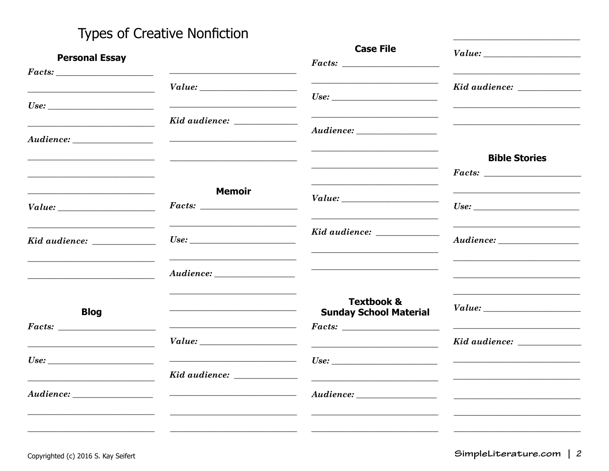### **Types of Creative Nonfiction**

<span id="page-1-0"></span>

| <b>Personal Essay</b>                                                                                                                         |                                                                                                                                                                                                                                      | <b>Case File</b><br>$Facts: \_\_$                                                                                                                                                                                                                                                                                                                                                                                                                                  |                                                                                                                      |
|-----------------------------------------------------------------------------------------------------------------------------------------------|--------------------------------------------------------------------------------------------------------------------------------------------------------------------------------------------------------------------------------------|--------------------------------------------------------------------------------------------------------------------------------------------------------------------------------------------------------------------------------------------------------------------------------------------------------------------------------------------------------------------------------------------------------------------------------------------------------------------|----------------------------------------------------------------------------------------------------------------------|
| <u> 1989 - Johann Barn, fransk politik amerikansk politik (</u>                                                                               |                                                                                                                                                                                                                                      | $Use: \begin{tabular}{ c c c } \hline \multicolumn{3}{ c }{\textbf{}} & \multicolumn{3}{ c }{\textbf{}} \\ \hline \multicolumn{3}{ c }{\textbf{}} & \multicolumn{3}{ c }{\textbf{}} \\ \hline \multicolumn{3}{ c }{\textbf{}} & \multicolumn{3}{ c }{\textbf{}} \\ \hline \multicolumn{3}{ c }{\textbf{}} & \multicolumn{3}{ c }{\textbf{}} \\ \hline \multicolumn{3}{ c }{\textbf{}} & \multicolumn{3}{ c }{\textbf{}} \\ \hline \multicolumn{3}{ c }{\textbf{}}$ |                                                                                                                      |
| $Use: \qquad \qquad$<br><u> 1989 - Johann Barbara, markatur basar masjid ayyik da shekara ta 1989 - An ama shekara ta 1989 - An ama sheka</u> |                                                                                                                                                                                                                                      |                                                                                                                                                                                                                                                                                                                                                                                                                                                                    |                                                                                                                      |
|                                                                                                                                               |                                                                                                                                                                                                                                      |                                                                                                                                                                                                                                                                                                                                                                                                                                                                    |                                                                                                                      |
|                                                                                                                                               |                                                                                                                                                                                                                                      |                                                                                                                                                                                                                                                                                                                                                                                                                                                                    | <b>Bible Stories</b>                                                                                                 |
| <u> 1989 - Johann Barn, amerikansk politiker (</u>                                                                                            | <b>Memoir</b>                                                                                                                                                                                                                        |                                                                                                                                                                                                                                                                                                                                                                                                                                                                    |                                                                                                                      |
| Kid audience: ____________                                                                                                                    | Use: $\qquad \qquad$                                                                                                                                                                                                                 |                                                                                                                                                                                                                                                                                                                                                                                                                                                                    |                                                                                                                      |
| <u> 1980 - Johann Barn, fransk politik (</u>                                                                                                  |                                                                                                                                                                                                                                      |                                                                                                                                                                                                                                                                                                                                                                                                                                                                    |                                                                                                                      |
| <b>Blog</b>                                                                                                                                   | <u> 1989 - Johann Harry Harry Harry Harry Harry Harry Harry Harry Harry Harry Harry Harry Harry Harry Harry Harry Harry Harry Harry Harry Harry Harry Harry Harry Harry Harry Harry Harry Harry Harry Harry Harry Harry Harry Ha</u> | <b>Textbook &amp;</b><br><b>Sunday School Material</b>                                                                                                                                                                                                                                                                                                                                                                                                             | $Value: \_$                                                                                                          |
| <u> 1989 - Johann Stein, mars an deus Amerikaansk kommunister (</u>                                                                           | $Value: \_$                                                                                                                                                                                                                          |                                                                                                                                                                                                                                                                                                                                                                                                                                                                    |                                                                                                                      |
| Use:                                                                                                                                          | Kid audience: ___________                                                                                                                                                                                                            | Use:                                                                                                                                                                                                                                                                                                                                                                                                                                                               | <u> Alexandria de la contrada de la contrada de la contrada de la contrada de la contrada de la contrada de la c</u> |
|                                                                                                                                               | <u> Alexandria (Carlo Carlo Carlo Carlo Carlo Carlo Carlo Carlo Carlo Carlo Carlo Carlo Carlo Carlo Carlo Carlo Ca</u><br><u> 1980 - Jan Sterling Sterling (d. 1980)</u>                                                             | <u> 2008 - Andrea Albert III, am bhaile an t-Iomraidh ann an t-Iomraidh ann an t-Iomraidh ann an t-Iomraidh ann an </u>                                                                                                                                                                                                                                                                                                                                            |                                                                                                                      |
|                                                                                                                                               |                                                                                                                                                                                                                                      |                                                                                                                                                                                                                                                                                                                                                                                                                                                                    |                                                                                                                      |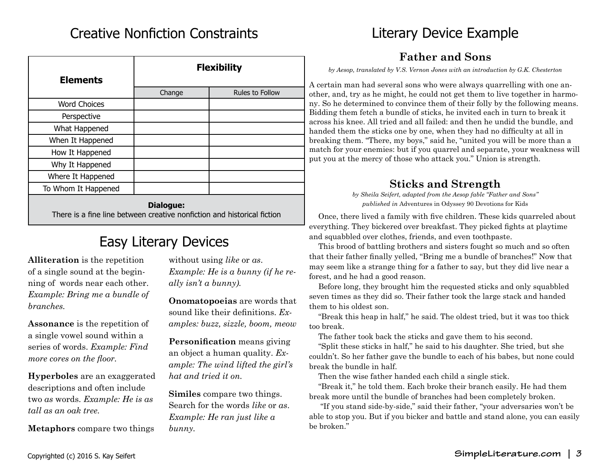<span id="page-2-0"></span>

| <b>Elements</b>                                                                      | <b>Flexibility</b> |                        |  |  |  |  |
|--------------------------------------------------------------------------------------|--------------------|------------------------|--|--|--|--|
|                                                                                      | Change             | <b>Rules to Follow</b> |  |  |  |  |
| <b>Word Choices</b>                                                                  |                    |                        |  |  |  |  |
| Perspective                                                                          |                    |                        |  |  |  |  |
| What Happened                                                                        |                    |                        |  |  |  |  |
| When It Happened                                                                     |                    |                        |  |  |  |  |
| How It Happened                                                                      |                    |                        |  |  |  |  |
| Why It Happened                                                                      |                    |                        |  |  |  |  |
| Where It Happened                                                                    |                    |                        |  |  |  |  |
| To Whom It Happened                                                                  |                    |                        |  |  |  |  |
| Dialogue:<br>There is a fine line between creative nonfiction and historical fiction |                    |                        |  |  |  |  |

### Easy Literary Devices

**Alliteration** is the repetition of a single sound at the beginning of words near each other. *Example: Bring me a bundle of branches.*

**Assonance** is the repetition of a single vowel sound within a series of words. *Example: Find more cores on the floor.*

**Hyperboles** are an exaggerated descriptions and often include two *as* words. *Example: He is as tall as an oak tree.*

**Metaphors** compare two things

without using *like* or *as*. *Example: He is a bunny (if he really isn't a bunny).*

**Onomatopoeias** are words that sound like their definitions. *Examples: buzz, sizzle, boom, meow*

**Personification** means giving an object a human quality. *Example: The wind lifted the girl's hat and tried it on.*

**Similes** compare two things. Search for the words *like* or *as*. *Example: He ran just like a bunny.*

## Literary Device Example

### **Father and Sons**

*by Aesop, translated by V.S. Vernon Jones with an introduction by G.K. Chesterton*

A certain man had several sons who were always quarrelling with one another, and, try as he might, he could not get them to live together in harmony. So he determined to convince them of their folly by the following means. Bidding them fetch a bundle of sticks, he invited each in turn to break it across his knee. All tried and all failed: and then he undid the bundle, and handed them the sticks one by one, when they had no difficulty at all in breaking them. "There, my boys," said he, "united you will be more than a match for your enemies: but if you quarrel and separate, your weakness will put you at the mercy of those who attack you." Union is strength.

### **Sticks and Strength**

*by Sheila Seifert, adapted from the Aesop fable "Father and Sons" published in* Adventures in Odyssey 90 Devotions for Kids

Once, there lived a family with five children. These kids quarreled about everything. They bickered over breakfast. They picked fights at playtime and squabbled over clothes, friends, and even toothpaste.

This brood of battling brothers and sisters fought so much and so often that their father finally yelled, "Bring me a bundle of branches!" Now that may seem like a strange thing for a father to say, but they did live near a forest, and he had a good reason.

Before long, they brought him the requested sticks and only squabbled seven times as they did so. Their father took the large stack and handed them to his oldest son.

"Break this heap in half," he said. The oldest tried, but it was too thick too break.

The father took back the sticks and gave them to his second.

"Split these sticks in half," he said to his daughter. She tried, but she couldn't. So her father gave the bundle to each of his babes, but none could break the bundle in half.

Then the wise father handed each child a single stick.

"Break it," he told them. Each broke their branch easily. He had them break more until the bundle of branches had been completely broken.

 "If you stand side-by-side," said their father, "your adversaries won't be able to stop you. But if you bicker and battle and stand alone, you can easily be broken."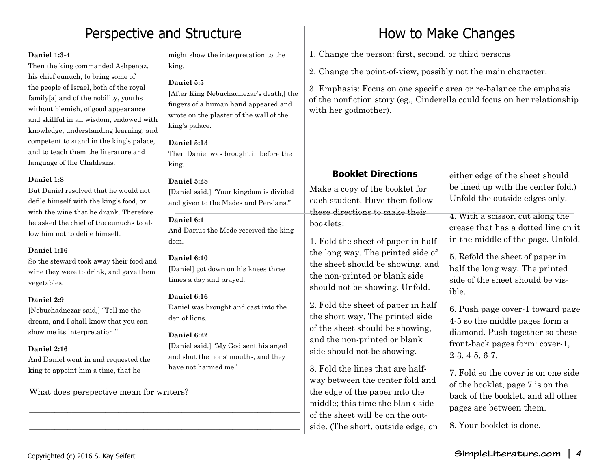### Perspective and Structure **How to Make Changes**

#### <span id="page-3-0"></span>**Daniel 1:3-4**

Then the king commanded Ashpenaz, his chief eunuch, to bring some of the people of Israel, both of the royal family[a] and of the nobility, youths without blemish, of good appearance and skillful in all wisdom, endowed with knowledge, understanding learning, and competent to stand in the king's palace, and to teach them the literature and language of the Chaldeans.

#### **Daniel 1:8**

But Daniel resolved that he would not defile himself with the king's food, or with the wine that he drank. Therefore he asked the chief of the eunuchs to allow him not to defile himself.

#### **Daniel 1:16**

So the steward took away their food and wine they were to drink, and gave them vegetables.

#### **Daniel 2:9**

[Nebuchadnezar said,] "Tell me the dream, and I shall know that you can show me its interpretation."

#### **Daniel 2:16**

And Daniel went in and requested the king to appoint him a time, that he

What does perspective mean for writers?

might show the interpretation to the king.

#### **Daniel 5:5**

[After King Nebuchadnezar's death,] the fingers of a human hand appeared and wrote on the plaster of the wall of the king's palace.

#### **Daniel 5:13**

Then Daniel was brought in before the king.

#### **Daniel 5:28**

[Daniel said,] "Your kingdom is divided and given to the Medes and Persians."

#### **Daniel 6:1**

And Darius the Mede received the kingdom.

#### **Daniel 6:10**

[Daniel] got down on his knees three times a day and prayed.

#### **Daniel 6:16**

Daniel was brought and cast into the den of lions.

#### **Daniel 6:22**

\_\_\_\_\_\_\_\_\_\_\_\_\_\_\_\_\_\_\_\_\_\_\_\_\_\_\_\_\_\_\_\_\_\_\_\_\_\_\_\_\_\_\_\_\_\_\_\_\_\_\_\_\_\_\_\_\_\_\_\_\_\_\_\_

\_\_\_\_\_\_\_\_\_\_\_\_\_\_\_\_\_\_\_\_\_\_\_\_\_\_\_\_\_\_\_\_\_\_\_\_\_\_\_\_\_\_\_\_\_\_\_\_\_\_\_\_\_\_\_\_\_\_\_\_\_\_\_\_

[Daniel said,] "My God sent his angel and shut the lions' mouths, and they have not harmed me."

1. Change the person: first, second, or third persons

2. Change the point-of-view, possibly not the main character.

3. Emphasis: Focus on one specific area or re-balance the emphasis of the nonfiction story (eg., Cinderella could focus on her relationship with her godmother).

#### **Booklet Directions**

Make a copy of the booklet for each student. Have them follow these directions to make their booklets:

1. Fold the sheet of paper in half the long way. The printed side of the sheet should be showing, and the non-printed or blank side should not be showing. Unfold.

2. Fold the sheet of paper in half the short way. The printed side of the sheet should be showing, and the non-printed or blank side should not be showing.

3. Fold the lines that are halfway between the center fold and the edge of the paper into the middle; this time the blank side of the sheet will be on the outside. (The short, outside edge, on either edge of the sheet should be lined up with the center fold.) Unfold the outside edges only.

4. With a scissor, cut along the crease that has a dotted line on it in the middle of the page. Unfold.

5. Refold the sheet of paper in half the long way. The printed side of the sheet should be visible.

6. Push page cover-1 toward page 4-5 so the middle pages form a diamond. Push together so these front-back pages form: cover-1, 2-3, 4-5, 6-7.

7. Fold so the cover is on one side of the booklet, page 7 is on the back of the booklet, and all other pages are between them.

8. Your booklet is done.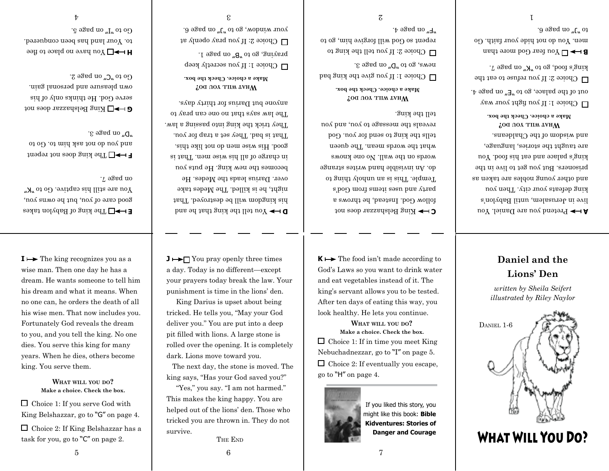$\Box$  Choice 1: If you serve God with

**What will you do? Make a choice. Check the box.**

 $I \mapsto$  The king recognizes you as a wise man. Then one day he has a dream. He wants someone to tell him his dream and what it means. When no one can, he orders the death of all his wise men. That now includes you. Fortunately God reveals the dream to you, and you tell the king. No one dies. You serve this king for many years. When he dies, others become king. You serve them.

 $E \mapsto \Box$  I he king of Babylon takes good care of you, but he owns you, "N" ot o $\mathcal{D}$  . svitage sid litte are uoY  $\cdot$ , ased uo

 $\Box \rightarrow \Box$  The king does not rebent and you do not ask him to. Go to  $\cdot$ c bage 3.

fou seop *x*ezzeuspeg aury □← serve God. He thinks only of his own pleasure and personal gain.  $\cdot$  2 egaq no  $\cdot$   $\cdot$   $\cdot$  of ob

<span id="page-4-0"></span> $\Box \rightarrow \Box$   $\Box$  we no  $\Box$  and  $\Box \leftrightarrow \Box$ to. Your land has been conquered.  $G$  of  $\mathbb{Z}_n$  and  $\mathbb{Z}_n$  and  $\mathbb{Z}_2$ 

> $J \mapsto \neg$  You pray openly three times a day. Today is no different—except your prayers today break the law. Your punishment is time in the lions' den.

> King Darius is upset about being tricked. He tells you, "May your God deliver you." You are put into a deep pit filled with lions. A large stone is rolled over the opening. It is completely

> The next day, the stone is moved. The king says, "Has your God saved you?" "Yes," you say. "I am not harmed." This makes the king happy. You are helped out of the lions' den. Those who tricked you are thrown in. They do not

dark. Lions move toward you.

survive.

6

THE END

 $\mathbf{D} \mapsto \mathbf{X}$ ou tell the king that he and his kingdom will be destroyed. That night, he is killed. The Medes take over. Darius leads the Medes. He becomes the new king. He puts you in charge of all his wise men. That is good. His wise men do not like this. That is bad. They set a trap for you. They trick the king into passing a law. The law says that no one can pray to anyone but Darius for thirty days.

*z* **ou do w** *n n n n n n n n n n n n n n n n n n n n n n n n n n n n n n n n n n* **Make a choice. Check the box.**

 $\Box$  Choice 1: If you secretly keep braying, go to  $\mathbb{R}^n$  on page 1.

 $\Box$  Choice 2: If you pray openly at

 $\mathcal{F}$  and  $\mathcal{F}$  are the set of  $\mathcal{F}$  and  $\mathcal{F}$  are the set of  $\mathcal{F}$  and  $\mathcal{F}$  are the set of  $\mathcal{F}$  and  $\mathcal{F}$  are the set of  $\mathcal{F}$  and  $\mathcal{F}$  are the set of  $\mathcal{F}$  and  $\mathcal{F}$  are the set of  $\cdot$  9.  $\theta$  and  $\theta$  of  $\theta$ ,  $\theta$  of  $\theta$  of  $\theta$  of  $\theta$  of  $\theta$  of  $\theta$  or  $\theta$  or  $\theta$  or  $\theta$ 

C **C C C C C C C**  $\omega$  as a corrected as  $\omega$ follow God. Instead, he throws a s por user sum it as a pure from God's Temple. This is an unholy thing to do. An invisible hand writes strange words on the wall. No one knows what the words mean. The queen tells the king to send for you. God reveals the message to you, and you

> $K \mapsto$  The food isn't made according to God's Laws so you want to drink water and eat vegetables instead of it. The king's servant allows you to be tested. After ten days of eating this way, you look healthy. He lets you continue.

*z* **ou do with** *xon* **do** *x* **Make a choice. Check the box.**  $\Box$  Choice 1: If you give the king bad

 $\Box$  Choice 2: If you tell the king to repent so God will forgive him, go to

 $\cdot$ g egad no "U" on page 3.

tell the king.

 $\cdot$ <sup>4</sup>.  $\cdot$ <sup>4</sup>  $\cdot$ <sup>4</sup>.  $\cdot$ <sup>4</sup>

**What will you do? Make a choice. Check the box.**  $\Box$  Choice 1: If in time you meet King Nebuchadnezzar, go to "I" on page 5.  $\Box$  Choice 2: If eventually you escape, go to "H" on page 4.



If you liked this story, you might like this book: **Bible Kidventures: Stories of Danger and Courage** DANIEL 1-6 *written by Sheila Seifert illustrated by Riley Naylor*

**Daniel and the Lions' Den**

What Will You Do?

 $\mathbf{B} \mapsto \mathbf{\square}$  Aeq more than men. You do not hide your faith. Go . $\partial \theta$  aged no  $\mathcal{N}_\mathbf{u}$  of

live in Jerusalem, until Babylon's king defeats your city. Then you and other young nobles are taken as prisoners. But you get to live in the king's palace and eat his food. You are taught the stories, language, and wisdom of the Chaldeans. **? do you ill <sup>w</sup> hat W Make a choice. Check the box.**  $\Box$  Choice 1: If you fight your way

ont of the palace, go to  $\mathbb{F}^n$  on page 4.  $\Box$  Choice 2: If you refuse to eat the  $\cdot$  paged no  $\cdot$   $\lambda$ <sup>r</sup> of og  $\cdot$  boot s'gnize

**Pretend you are Daniel.** You we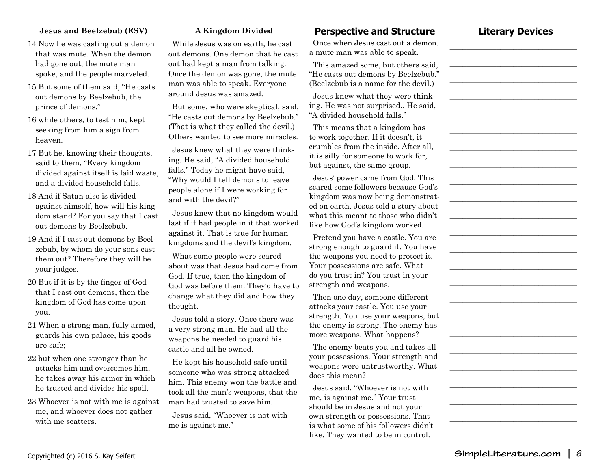#### **Jesus and Beelzebub (ESV)**

- 14 Now he was casting out a demon that was mute. When the demon had gone out, the mute man spoke, and the people marveled.
- 15 But some of them said, "He casts out demons by Beelzebub, the prince of demons,"
- 16 while others, to test him, kept seeking from him a sign from heaven.
- 17 But he, knowing their thoughts, said to them, "Every kingdom divided against itself is laid waste, and a divided household falls.
- 18 And if Satan also is divided against himself, how will his kingdom stand? For you say that I cast out demons by Beelzebub.
- 19 And if I cast out demons by Beelzebub, by whom do your sons cast them out? Therefore they will be your judges.
- 20 But if it is by the finger of God that I cast out demons, then the kingdom of God has come upon you.
- 21 When a strong man, fully armed, guards his own palace, his goods are safe;
- 22 but when one stronger than he attacks him and overcomes him, he takes away his armor in which he trusted and divides his spoil.
- 23 Whoever is not with me is against me, and whoever does not gather with me scatters.

#### **A Kingdom Divided**

While Jesus was on earth, he cast out demons. One demon that he cast out had kept a man from talking. Once the demon was gone, the mute man was able to speak. Everyone around Jesus was amazed.

But some, who were skeptical, said, "He casts out demons by Beelzebub." (That is what they called the devil.) Others wanted to see more miracles.

Jesus knew what they were thinking. He said, "A divided household falls." Today he might have said, "Why would I tell demons to leave people alone if I were working for and with the devil?"

Jesus knew that no kingdom would last if it had people in it that worked against it. That is true for human kingdoms and the devil's kingdom.

What some people were scared about was that Jesus had come from God. If true, then the kingdom of God was before them. They'd have to change what they did and how they thought.

Jesus told a story. Once there was a very strong man. He had all the weapons he needed to guard his castle and all he owned.

He kept his household safe until someone who was strong attacked him. This enemy won the battle and took all the man's weapons, that the man had trusted to save him.

Jesus said, "Whoever is not with me is against me."

#### **Perspective and Structure**

Once when Jesus cast out a demon. a mute man was able to speak.

This amazed some, but others said, "He casts out demons by Beelzebub." (Beelzebub is a name for the devil.)

Jesus knew what they were thinking. He was not surprised.. He said, "A divided household falls."

This means that a kingdom has to work together. If it doesn't, it crumbles from the inside. After all, it is silly for someone to work for, but against, the same group.

Jesus' power came from God. This scared some followers because God's kingdom was now being demonstrated on earth. Jesus told a story about what this meant to those who didn't like how God's kingdom worked.

Pretend you have a castle. You are strong enough to guard it. You have the weapons you need to protect it. Your possessions are safe. What do you trust in? You trust in your strength and weapons.

Then one day, someone different attacks your castle. You use your strength. You use your weapons, but the enemy is strong. The enemy has more weapons. What happens?

The enemy beats you and takes all your possessions. Your strength and weapons were untrustworthy. What does this mean?

Jesus said, "Whoever is not with me, is against me." Your trust should be in Jesus and not your own strength or possessions. That is what some of his followers didn't like. They wanted to be in control.

#### **Literary Devices** \_\_\_\_\_\_\_\_\_\_\_\_\_\_\_\_\_\_\_\_\_\_\_\_\_\_\_\_\_\_

\_\_\_\_\_\_\_\_\_\_\_\_\_\_\_\_\_\_\_\_\_\_\_\_\_\_\_\_\_\_

\_\_\_\_\_\_\_\_\_\_\_\_\_\_\_\_\_\_\_\_\_\_\_\_\_\_\_\_\_\_

\_\_\_\_\_\_\_\_\_\_\_\_\_\_\_\_\_\_\_\_\_\_\_\_\_\_\_\_\_\_

\_\_\_\_\_\_\_\_\_\_\_\_\_\_\_\_\_\_\_\_\_\_\_\_\_\_\_\_\_\_

\_\_\_\_\_\_\_\_\_\_\_\_\_\_\_\_\_\_\_\_\_\_\_\_\_\_\_\_\_\_

\_\_\_\_\_\_\_\_\_\_\_\_\_\_\_\_\_\_\_\_\_\_\_\_\_\_\_\_\_\_

\_\_\_\_\_\_\_\_\_\_\_\_\_\_\_\_\_\_\_\_\_\_\_\_\_\_\_\_\_\_

\_\_\_\_\_\_\_\_\_\_\_\_\_\_\_\_\_\_\_\_\_\_\_\_\_\_\_\_\_\_

\_\_\_\_\_\_\_\_\_\_\_\_\_\_\_\_\_\_\_\_\_\_\_\_\_\_\_\_\_\_

\_\_\_\_\_\_\_\_\_\_\_\_\_\_\_\_\_\_\_\_\_\_\_\_\_\_\_\_\_\_

\_\_\_\_\_\_\_\_\_\_\_\_\_\_\_\_\_\_\_\_\_\_\_\_\_\_\_\_\_\_

\_\_\_\_\_\_\_\_\_\_\_\_\_\_\_\_\_\_\_\_\_\_\_\_\_\_\_\_\_\_

\_\_\_\_\_\_\_\_\_\_\_\_\_\_\_\_\_\_\_\_\_\_\_\_\_\_\_\_\_\_

\_\_\_\_\_\_\_\_\_\_\_\_\_\_\_\_\_\_\_\_\_\_\_\_\_\_\_\_\_\_

\_\_\_\_\_\_\_\_\_\_\_\_\_\_\_\_\_\_\_\_\_\_\_\_\_\_\_\_\_\_

\_\_\_\_\_\_\_\_\_\_\_\_\_\_\_\_\_\_\_\_\_\_\_\_\_\_\_\_\_\_

\_\_\_\_\_\_\_\_\_\_\_\_\_\_\_\_\_\_\_\_\_\_\_\_\_\_\_\_\_\_

\_\_\_\_\_\_\_\_\_\_\_\_\_\_\_\_\_\_\_\_\_\_\_\_\_\_\_\_\_\_

\_\_\_\_\_\_\_\_\_\_\_\_\_\_\_\_\_\_\_\_\_\_\_\_\_\_\_\_\_\_

\_\_\_\_\_\_\_\_\_\_\_\_\_\_\_\_\_\_\_\_\_\_\_\_\_\_\_\_\_\_

\_\_\_\_\_\_\_\_\_\_\_\_\_\_\_\_\_\_\_\_\_\_\_\_\_\_\_\_\_\_